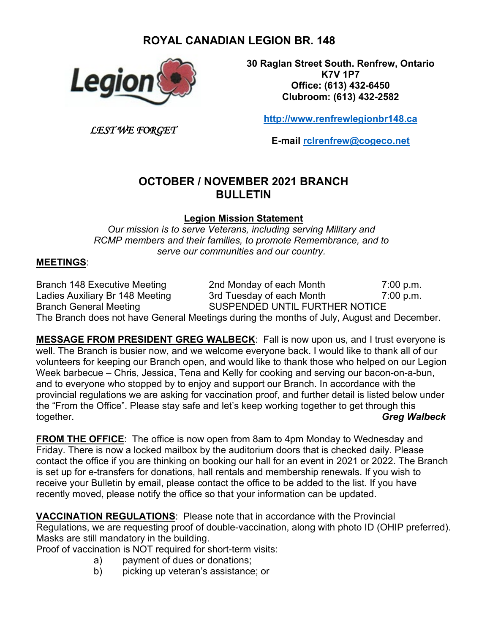# **ROYAL CANADIAN LEGION BR. 148**



*LEST WE FORGET*

**30 Raglan Street South. Renfrew, Ontario K7V 1P7 Office: (613) 432-6450 Clubroom: (613) 432-2582**

**[http://www.renfrewlegionbr148.ca](http://www.renfrewlegionbr148.ca/)**

**E-mail [rclrenfrew@cogeco.net](mailto:rclrenfrew@cogeco.net)**

## **OCTOBER / NOVEMBER 2021 BRANCH BULLETIN**

**Legion Mission Statement**

*Our mission is to serve Veterans, including serving Military and RCMP members and their families, to promote Remembrance, and to serve our communities and our country.*

#### **MEETINGS**:

Branch 148 Executive Meeting 2nd Monday of each Month 7:00 p.m.<br>Ladies Auxiliary Br 148 Meeting 3rd Tuesday of each Month 7:00 p.m. Ladies Auxiliary Br 148 Meeting 3rd Tuesday of each Month 7:00 p.m. Branch General Meeting SUSPENDED UNTIL FURTHER NOTICE The Branch does not have General Meetings during the months of July, August and December.

**MESSAGE FROM PRESIDENT GREG WALBECK**: Fall is now upon us, and I trust everyone is well. The Branch is busier now, and we welcome everyone back. I would like to thank all of our volunteers for keeping our Branch open, and would like to thank those who helped on our Legion Week barbecue – Chris, Jessica, Tena and Kelly for cooking and serving our bacon-on-a-bun, and to everyone who stopped by to enjoy and support our Branch. In accordance with the provincial regulations we are asking for vaccination proof, and further detail is listed below under the "From the Office". Please stay safe and let's keep working together to get through this together. *Greg Walbeck*

**FROM THE OFFICE**: The office is now open from 8am to 4pm Monday to Wednesday and Friday. There is now a locked mailbox by the auditorium doors that is checked daily. Please contact the office if you are thinking on booking our hall for an event in 2021 or 2022. The Branch is set up for e-transfers for donations, hall rentals and membership renewals. If you wish to receive your Bulletin by email, please contact the office to be added to the list. If you have recently moved, please notify the office so that your information can be updated.

**VACCINATION REGULATIONS**: Please note that in accordance with the Provincial Regulations, we are requesting proof of double-vaccination, along with photo ID (OHIP preferred). Masks are still mandatory in the building.

Proof of vaccination is NOT required for short-term visits:

- a) payment of dues or donations;
- b) picking up veteran's assistance; or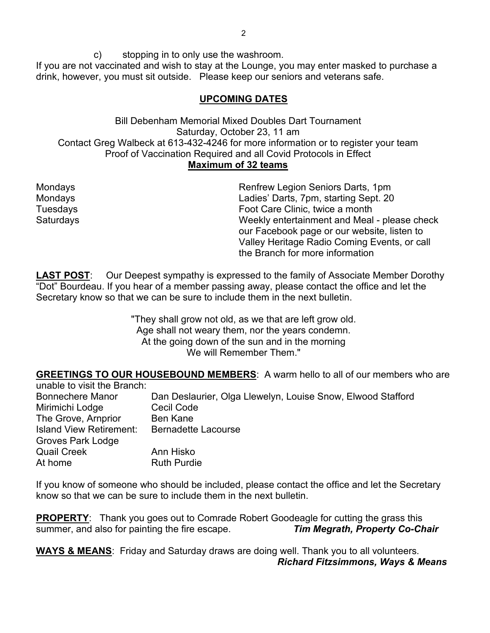c) stopping in to only use the washroom. If you are not vaccinated and wish to stay at the Lounge, you may enter masked to purchase a drink, however, you must sit outside. Please keep our seniors and veterans safe.

#### **UPCOMING DATES**

Bill Debenham Memorial Mixed Doubles Dart Tournament Saturday, October 23, 11 am Contact Greg Walbeck at 613-432-4246 for more information or to register your team Proof of Vaccination Required and all Covid Protocols in Effect **Maximum of 32 teams**

Mondays Renfrew Legion Seniors Darts, 1pm Ladies' Darts, 7pm, starting Sept. 20 Tuesdays Foot Care Clinic, twice a month Saturdays Weekly entertainment and Meal - please check our Facebook page or our website, listen to Valley Heritage Radio Coming Events, or call the Branch for more information

LAST POST: Our Deepest sympathy is expressed to the family of Associate Member Dorothy "Dot" Bourdeau. If you hear of a member passing away, please contact the office and let the Secretary know so that we can be sure to include them in the next bulletin.

> "They shall grow not old, as we that are left grow old. Age shall not weary them, nor the years condemn. At the going down of the sun and in the morning We will Remember Them."

**GREETINGS TO OUR HOUSEBOUND MEMBERS**: A warm hello to all of our members who are

| unable to visit the Branch:    |                                                             |
|--------------------------------|-------------------------------------------------------------|
| <b>Bonnechere Manor</b>        | Dan Deslaurier, Olga Llewelyn, Louise Snow, Elwood Stafford |
| Mirimichi Lodge                | Cecil Code                                                  |
| The Grove, Arnprior            | <b>Ben Kane</b>                                             |
| <b>Island View Retirement:</b> | <b>Bernadette Lacourse</b>                                  |
| <b>Groves Park Lodge</b>       |                                                             |
| <b>Quail Creek</b>             | Ann Hisko                                                   |
| At home                        | <b>Ruth Purdie</b>                                          |

If you know of someone who should be included, please contact the office and let the Secretary know so that we can be sure to include them in the next bulletin.

**PROPERTY:** Thank you goes out to Comrade Robert Goodeagle for cutting the grass this summer, and also for painting the fire escape. *Tim Megrath, Property Co-Chair*

**WAYS & MEANS**: Friday and Saturday draws are doing well. Thank you to all volunteers. *Richard Fitzsimmons, Ways & Means*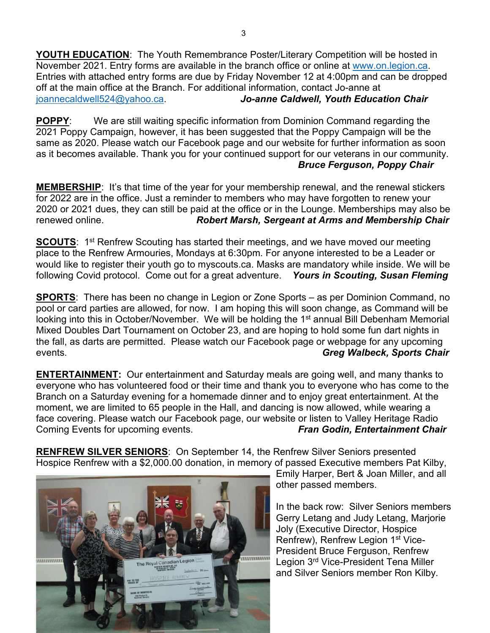**YOUTH EDUCATION**: The Youth Remembrance Poster/Literary Competition will be hosted in November 2021. Entry forms are available in the branch office or online at [www.on.legion.ca.](http://www.on.legion.ca/) Entries with attached entry forms are due by Friday November 12 at 4:00pm and can be dropped off at the main office at the Branch. For additional information, contact Jo-anne at [joannecaldwell524@yahoo.ca.](mailto:joannecaldwell524@yahoo.ca) *Jo-anne Caldwell, Youth Education Chair*

**POPPY:** We are still waiting specific information from Dominion Command regarding the 2021 Poppy Campaign, however, it has been suggested that the Poppy Campaign will be the same as 2020. Please watch our Facebook page and our website for further information as soon as it becomes available. Thank you for your continued support for our veterans in our community. *Bruce Ferguson, Poppy Chair*

**MEMBERSHIP**: It's that time of the year for your membership renewal, and the renewal stickers for 2022 are in the office. Just a reminder to members who may have forgotten to renew your 2020 or 2021 dues, they can still be paid at the office or in the Lounge. Memberships may also be renewed online. *Robert Marsh, Sergeant at Arms and Membership Chair*

**SCOUTS:** 1<sup>st</sup> Renfrew Scouting has started their meetings, and we have moved our meeting place to the Renfrew Armouries, Mondays at 6:30pm. For anyone interested to be a Leader or would like to register their youth go to myscouts.ca. Masks are mandatory while inside. We will be following Covid protocol. Come out for a great adventure. *Yours in Scouting, Susan Fleming*

**SPORTS**: There has been no change in Legion or Zone Sports – as per Dominion Command, no pool or card parties are allowed, for now. I am hoping this will soon change, as Command will be looking into this in October/November. We will be holding the 1<sup>st</sup> annual Bill Debenham Memorial Mixed Doubles Dart Tournament on October 23, and are hoping to hold some fun dart nights in the fall, as darts are permitted. Please watch our Facebook page or webpage for any upcoming events. *Greg Walbeck, Sports Chair*

**ENTERTAINMENT:** Our entertainment and Saturday meals are going well, and many thanks to everyone who has volunteered food or their time and thank you to everyone who has come to the Branch on a Saturday evening for a homemade dinner and to enjoy great entertainment. At the moment, we are limited to 65 people in the Hall, and dancing is now allowed, while wearing a face covering. Please watch our Facebook page, our website or listen to Valley Heritage Radio Coming Events for upcoming events. *Fran Godin, Entertainment Chair*

**RENFREW SILVER SENIORS**: On September 14, the Renfrew Silver Seniors presented Hospice Renfrew with a \$2,000.00 donation, in memory of passed Executive members Pat Kilby,



Emily Harper, Bert & Joan Miller, and all other passed members.

In the back row: Silver Seniors members Gerry Letang and Judy Letang, Marjorie Joly (Executive Director, Hospice Renfrew), Renfrew Legion 1<sup>st</sup> Vice-President Bruce Ferguson, Renfrew Legion 3rd Vice-President Tena Miller and Silver Seniors member Ron Kilby.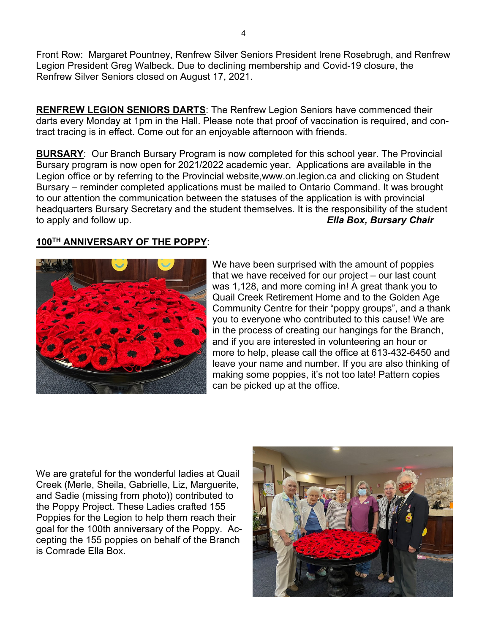Front Row: Margaret Pountney, Renfrew Silver Seniors President Irene Rosebrugh, and Renfrew Legion President Greg Walbeck. Due to declining membership and Covid-19 closure, the Renfrew Silver Seniors closed on August 17, 2021.

**RENFREW LEGION SENIORS DARTS**: The Renfrew Legion Seniors have commenced their darts every Monday at 1pm in the Hall. Please note that proof of vaccination is required, and contract tracing is in effect. Come out for an enjoyable afternoon with friends.

**BURSARY**: Our Branch Bursary Program is now completed for this school year. The Provincial Bursary program is now open for 2021/2022 academic year. Applications are available in the Legion office or by referring to the Provincial website,www.on.legion.ca and clicking on Student Bursary – reminder completed applications must be mailed to Ontario Command. It was brought to our attention the communication between the statuses of the application is with provincial headquarters Bursary Secretary and the student themselves. It is the responsibility of the student to apply and follow up. *Ella Box, Bursary Chair*

### **100TH ANNIVERSARY OF THE POPPY**:



We have been surprised with the amount of poppies that we have received for our project – our last count was 1,128, and more coming in! A great thank you to Quail Creek Retirement Home and to the Golden Age Community Centre for their "poppy groups", and a thank you to everyone who contributed to this cause! We are in the process of creating our hangings for the Branch, and if you are interested in volunteering an hour or more to help, please call the office at 613-432-6450 and leave your name and number. If you are also thinking of making some poppies, it's not too late! Pattern copies can be picked up at the office.

We are grateful for the wonderful ladies at Quail Creek (Merle, Sheila, Gabrielle, Liz, Marguerite, and Sadie (missing from photo)) contributed to the Poppy Project. These Ladies crafted 155 Poppies for the Legion to help them reach their goal for the 100th anniversary of the Poppy. Accepting the 155 poppies on behalf of the Branch is Comrade Ella Box.

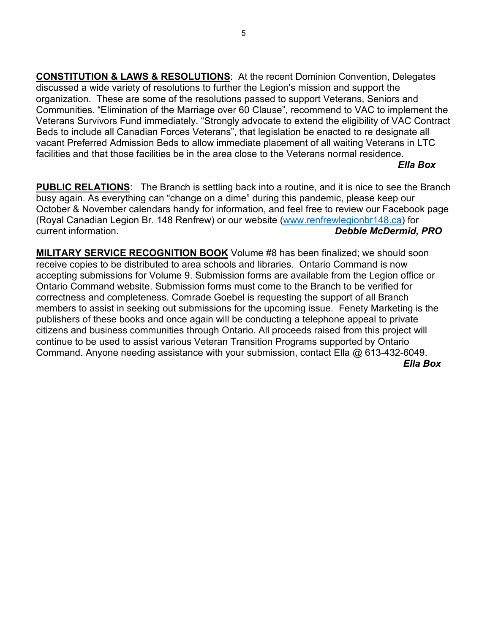**CONSTITUTION & LAWS & RESOLUTIONS**: At the recent Dominion Convention, Delegates discussed a wide variety of resolutions to further the Legion's mission and support the organization. These are some of the resolutions passed to support Veterans, Seniors and Communities. "Elimination of the Marriage over 60 Clause", recommend to VAC to implement the Veterans Survivors Fund immediately. "Strongly advocate to extend the eligibility of VAC Contract Beds to include all Canadian Forces Veterans", that legislation be enacted to re designate all vacant Preferred Admission Beds to allow immediate placement of all waiting Veterans in LTC facilities and that those facilities be in the area close to the Veterans normal residence.

#### *Ella Box*

**PUBLIC RELATIONS**: The Branch is settling back into a routine, and it is nice to see the Branch busy again. As everything can "change on a dime" during this pandemic, please keep our October & November calendars handy for information, and feel free to review our Facebook page (Royal Canadian Legion Br. 148 Renfrew) or our website [\(www.renfrewlegionbr148.ca\)](http://www.renfrewlegionbr148.ca/) for current information. *Debbie McDermid, PRO*

**MILITARY SERVICE RECOGNITION BOOK** Volume #8 has been finalized; we should soon receive copies to be distributed to area schools and libraries. Ontario Command is now accepting submissions for Volume 9. Submission forms are available from the Legion office or Ontario Command website. Submission forms must come to the Branch to be verified for correctness and completeness. Comrade Goebel is requesting the support of all Branch members to assist in seeking out submissions for the upcoming issue. Fenety Marketing is the publishers of these books and once again will be conducting a telephone appeal to private citizens and business communities through Ontario. All proceeds raised from this project will continue to be used to assist various Veteran Transition Programs supported by Ontario Command. Anyone needing assistance with your submission, contact Ella @ 613-432-6049.  *Ella Box*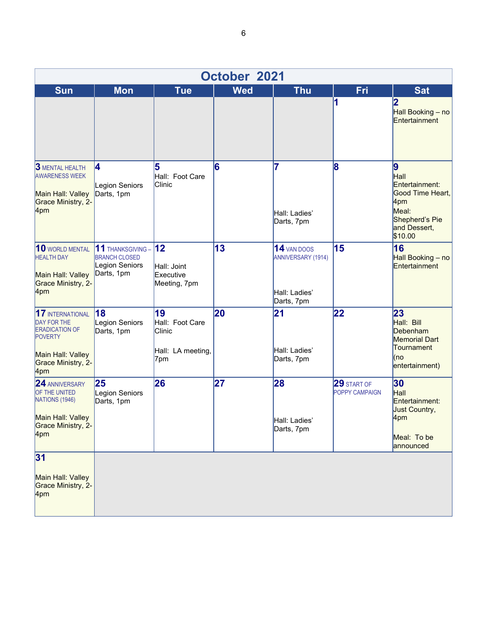| October 2021                                                                                                                               |                                                                                  |                                                             |            |                                                                         |                                      |                                                                                                              |  |  |  |  |
|--------------------------------------------------------------------------------------------------------------------------------------------|----------------------------------------------------------------------------------|-------------------------------------------------------------|------------|-------------------------------------------------------------------------|--------------------------------------|--------------------------------------------------------------------------------------------------------------|--|--|--|--|
| <b>Sun</b>                                                                                                                                 | <b>Mon</b>                                                                       | <b>Tue</b>                                                  | <b>Wed</b> | <b>Thu</b>                                                              | Fri                                  | <b>Sat</b>                                                                                                   |  |  |  |  |
|                                                                                                                                            |                                                                                  |                                                             |            |                                                                         | 1                                    | 2<br>Hall Booking - no<br>Entertainment                                                                      |  |  |  |  |
| <b>3 MENTAL HEALTH</b><br><b>AWARENESS WEEK</b><br>Main Hall: Valley<br>Grace Ministry, 2-<br>4pm                                          | 4<br>Legion Seniors<br>Darts, 1pm                                                | 5<br>Hall: Foot Care<br>Clinic                              | 6          | 7<br>Hall: Ladies'<br>Darts, 7pm                                        | 8                                    | 9<br>Hall<br>Entertainment:<br>Good Time Heart,<br>4pm<br>Meal:<br>Shepherd's Pie<br>and Dessert,<br>\$10.00 |  |  |  |  |
| 10 WORLD MENTAL<br><b>HEALTH DAY</b><br>Main Hall: Valley<br>Grace Ministry, 2-<br>4pm                                                     | $11$ THANKSGIVING - $12$<br><b>BRANCH CLOSED</b><br>Legion Seniors<br>Darts, 1pm | Hall: Joint<br>Executive<br>Meeting, 7pm                    | 13         | 14 VAN DOOS<br><b>ANNIVERSARY (1914)</b><br>Hall: Ladies'<br>Darts, 7pm | 15                                   | 16<br>Hall Booking - no<br>Entertainment                                                                     |  |  |  |  |
| 17 INTERNATIONAL<br><b>DAY FOR THE</b><br><b>ERADICATION OF</b><br><b>POVERTY</b><br>Main Hall: Valley<br><b>Grace Ministry, 2-</b><br>4pm | 18<br>Legion Seniors<br>Darts, 1pm                                               | 19<br>Hall: Foot Care<br>Clinic<br>Hall: LA meeting,<br>7pm | 20         | 21<br>Hall: Ladies'<br>Darts, 7pm                                       | 22                                   | 23<br>Hall: Bill<br>Debenham<br><b>Memorial Dart</b><br>Tournament<br>(no<br>entertainment)                  |  |  |  |  |
| 24 ANNIVERSARY<br>OF THE UNITED<br>NATIONS (1946)<br>Main Hall: Valley<br>Grace Ministry, 2-<br>4pm                                        | 25<br>Legion Seniors<br>Darts, 1pm                                               | 26                                                          | 27         | 28<br>Hall: Ladies'<br>Darts, 7pm                                       | <b>29 START OF</b><br>POPPY CAMPAIGN | 30<br>Hall<br>Entertainment:<br>Just Country,<br>4pm<br>Meal: To be<br>announced                             |  |  |  |  |
| 31<br>Main Hall: Valley<br>Grace Ministry, 2-<br>4pm                                                                                       |                                                                                  |                                                             |            |                                                                         |                                      |                                                                                                              |  |  |  |  |